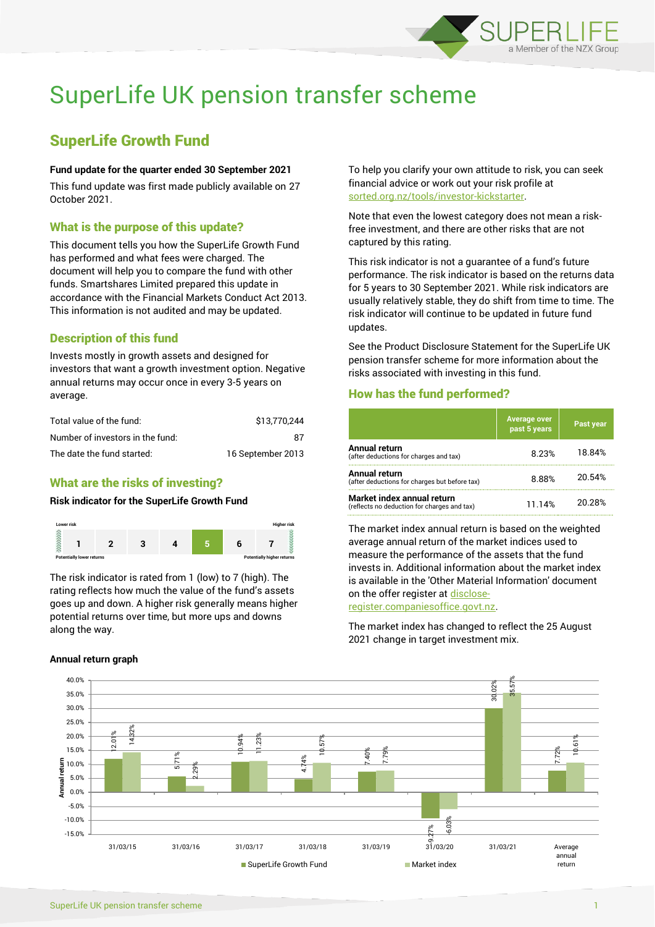

# SuperLife UK pension transfer scheme

## SuperLife Growth Fund

#### **Fund update for the quarter ended 30 September 2021**

This fund update was first made publicly available on 27 October 2021.

#### What is the purpose of this update?

This document tells you how the SuperLife Growth Fund has performed and what fees were charged. The document will help you to compare the fund with other funds. Smartshares Limited prepared this update in accordance with the Financial Markets Conduct Act 2013. This information is not audited and may be updated.

## Description of this fund

Invests mostly in growth assets and designed for investors that want a growth investment option. Negative annual returns may occur once in every 3-5 years on average.

| Total value of the fund:         | \$13.770.244      |
|----------------------------------|-------------------|
| Number of investors in the fund: | 87                |
| The date the fund started:       | 16 September 2013 |

## What are the risks of investing?

## **Risk indicator for the SuperLife Growth Fund**



The risk indicator is rated from 1 (low) to 7 (high). The rating reflects how much the value of the fund's assets goes up and down. A higher risk generally means higher potential returns over time, but more ups and downs along the way.

#### **Annual return graph**

To help you clarify your own attitude to risk, you can seek financial advice or work out your risk profile at [sorted.org.nz/tools/investor-kickstarter.](http://www.sorted.org.nz/tools/investor-kickstarter)

Note that even the lowest category does not mean a riskfree investment, and there are other risks that are not captured by this rating.

This risk indicator is not a guarantee of a fund's future performance. The risk indicator is based on the returns data for 5 years to 30 September 2021. While risk indicators are usually relatively stable, they do shift from time to time. The risk indicator will continue to be updated in future fund updates.

See the Product Disclosure Statement for the SuperLife UK pension transfer scheme for more information about the risks associated with investing in this fund.

#### How has the fund performed?

|                                                                           | <b>Average over</b><br>past 5 years | Past year |
|---------------------------------------------------------------------------|-------------------------------------|-----------|
| Annual return<br>(after deductions for charges and tax)                   | 8.23%                               | 18.84%    |
| Annual return<br>(after deductions for charges but before tax)            | 8.88%                               | 20.54%    |
| Market index annual return<br>(reflects no deduction for charges and tax) | 11.14%                              | 20.28%    |

The market index annual return is based on the weighted average annual return of the market indices used to measure the performance of the assets that the fund invests in. Additional information about the market index is available in the 'Other Material Information' document on the offer register a[t disclose-](http://www.disclose-register.companiesoffice.govt.nz/)

[register.companiesoffice.govt.nz.](http://www.disclose-register.companiesoffice.govt.nz/)

The market index has changed to reflect the 25 August 2021 change in target investment mix.

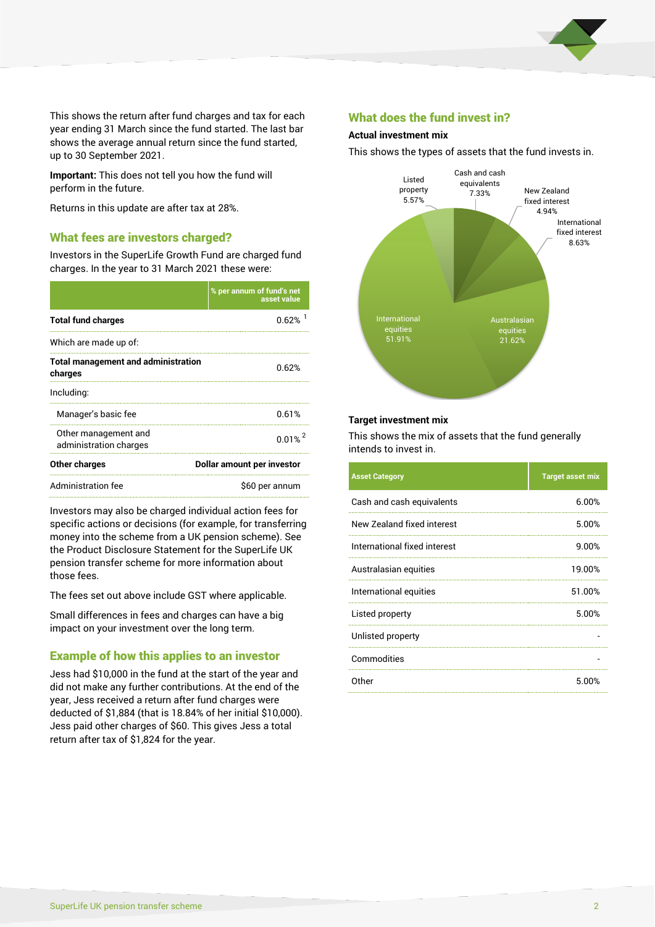

This shows the return after fund charges and tax for each year ending 31 March since the fund started. The last bar shows the average annual return since the fund started, up to 30 September 2021.

**Important:** This does not tell you how the fund will perform in the future.

Returns in this update are after tax at 28%.

## What fees are investors charged?

Investors in the SuperLife Growth Fund are charged fund charges. In the year to 31 March 2021 these were:

|                                                       | % per annum of fund's net<br>asset value |  |
|-------------------------------------------------------|------------------------------------------|--|
| <b>Total fund charges</b>                             | 0.62%                                    |  |
| Which are made up of:                                 |                                          |  |
| <b>Total management and administration</b><br>charges | 0.62%                                    |  |
| Including:                                            |                                          |  |
| Manager's basic fee                                   | 0.61%                                    |  |
| Other management and<br>administration charges        | $0.01\%$ <sup>2</sup>                    |  |
| Other charges                                         | Dollar amount per investor               |  |
| <b>Administration fee</b>                             | \$60 per annum                           |  |

Investors may also be charged individual action fees for specific actions or decisions (for example, for transferring money into the scheme from a UK pension scheme). See the Product Disclosure Statement for the SuperLife UK pension transfer scheme for more information about those fees.

The fees set out above include GST where applicable.

Small differences in fees and charges can have a big impact on your investment over the long term.

## Example of how this applies to an investor

Jess had \$10,000 in the fund at the start of the year and did not make any further contributions. At the end of the year, Jess received a return after fund charges were deducted of \$1,884 (that is 18.84% of her initial \$10,000). Jess paid other charges of \$60. This gives Jess a total return after tax of \$1,824 for the year.

### What does the fund invest in?

#### **Actual investment mix**

This shows the types of assets that the fund invests in.



#### **Target investment mix**

This shows the mix of assets that the fund generally intends to invest in.

| <b>Asset Category</b>        | <b>Target asset mix</b> |
|------------------------------|-------------------------|
| Cash and cash equivalents    | 6.00%                   |
| New Zealand fixed interest   | 5.00%                   |
| International fixed interest | 9.00%                   |
| Australasian equities        | 19.00%                  |
| International equities       | 51.00%                  |
| Listed property              | 5.00%                   |
| Unlisted property            |                         |
| Commodities                  |                         |
| Other                        | 5.00%                   |